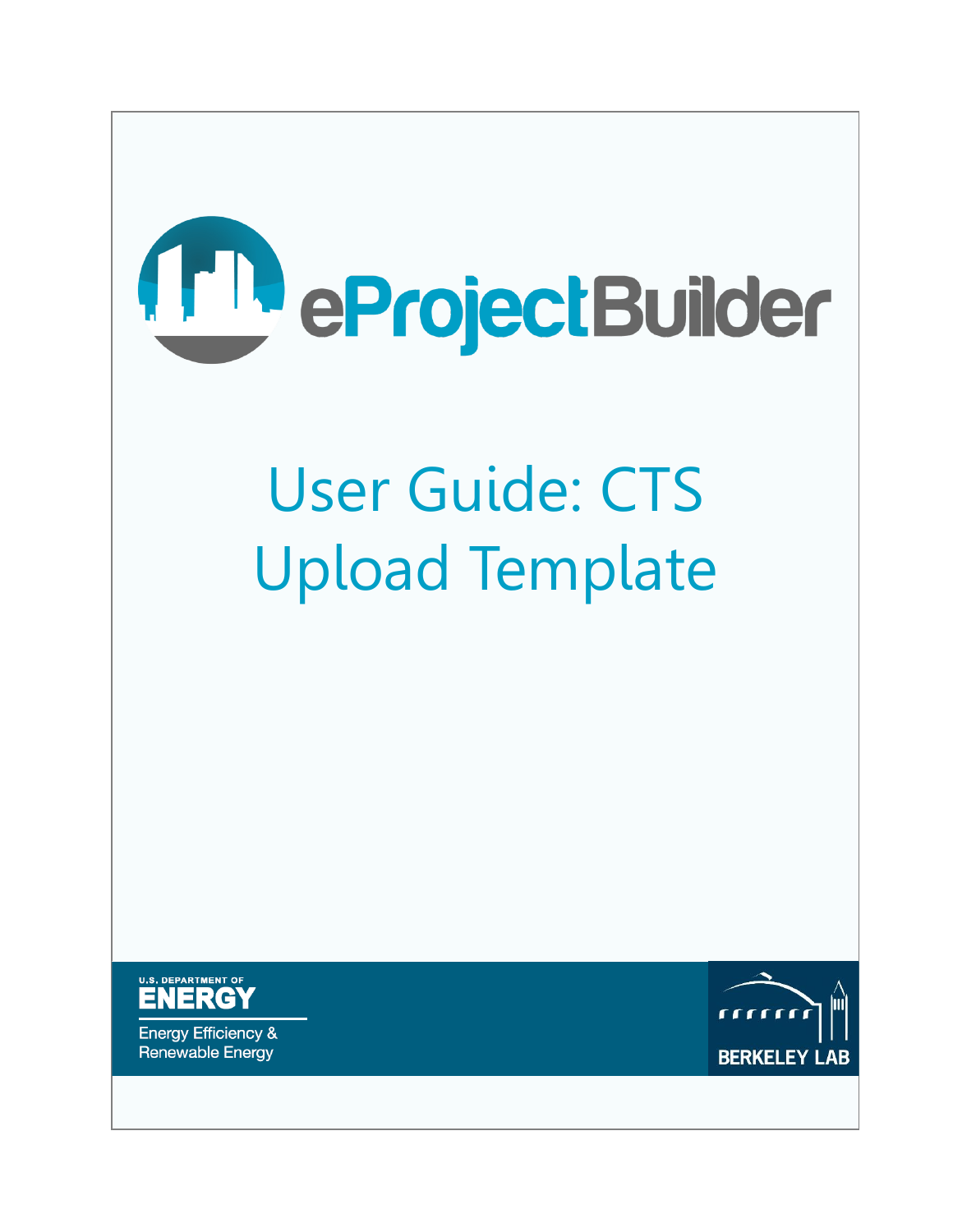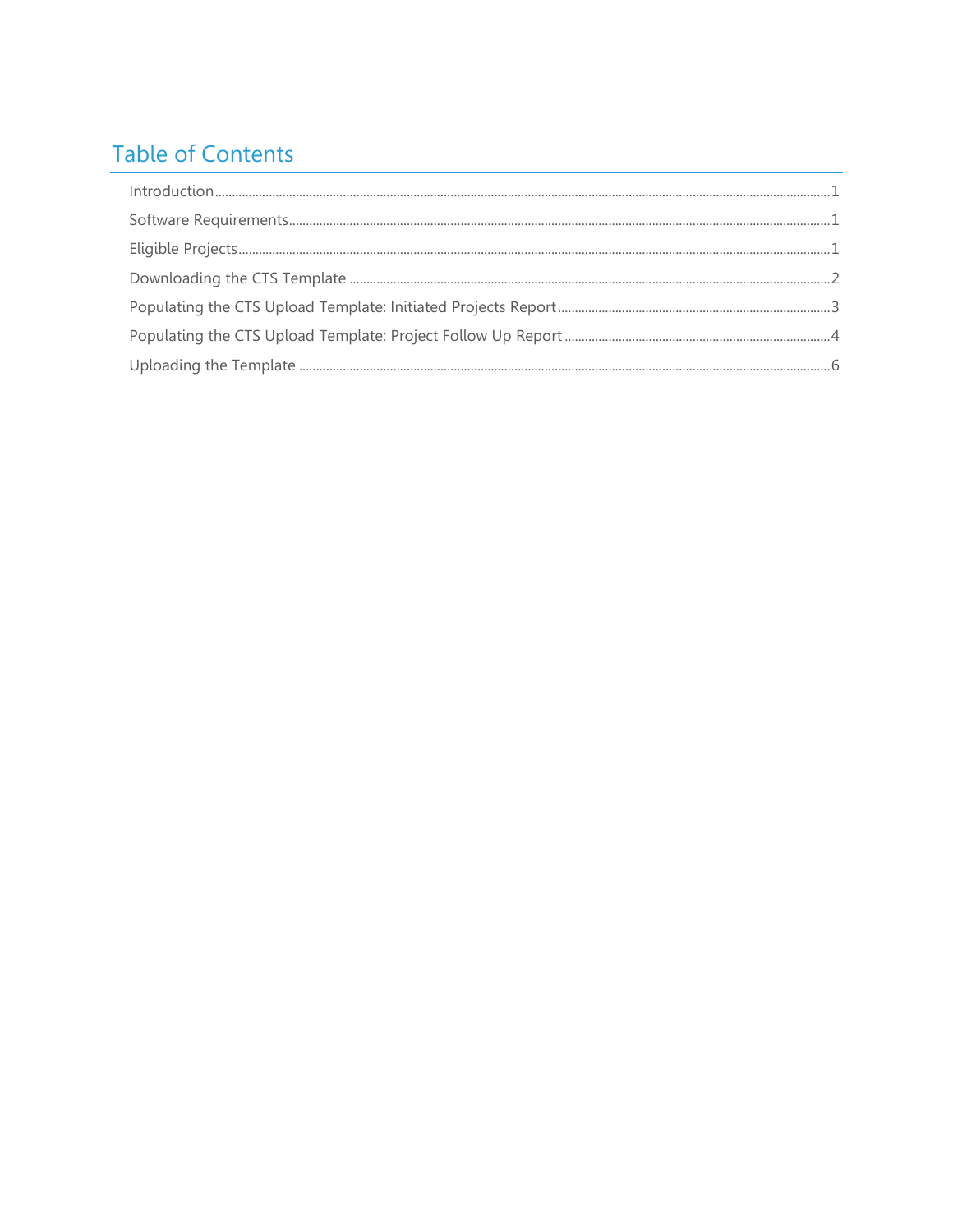# **Table of Contents**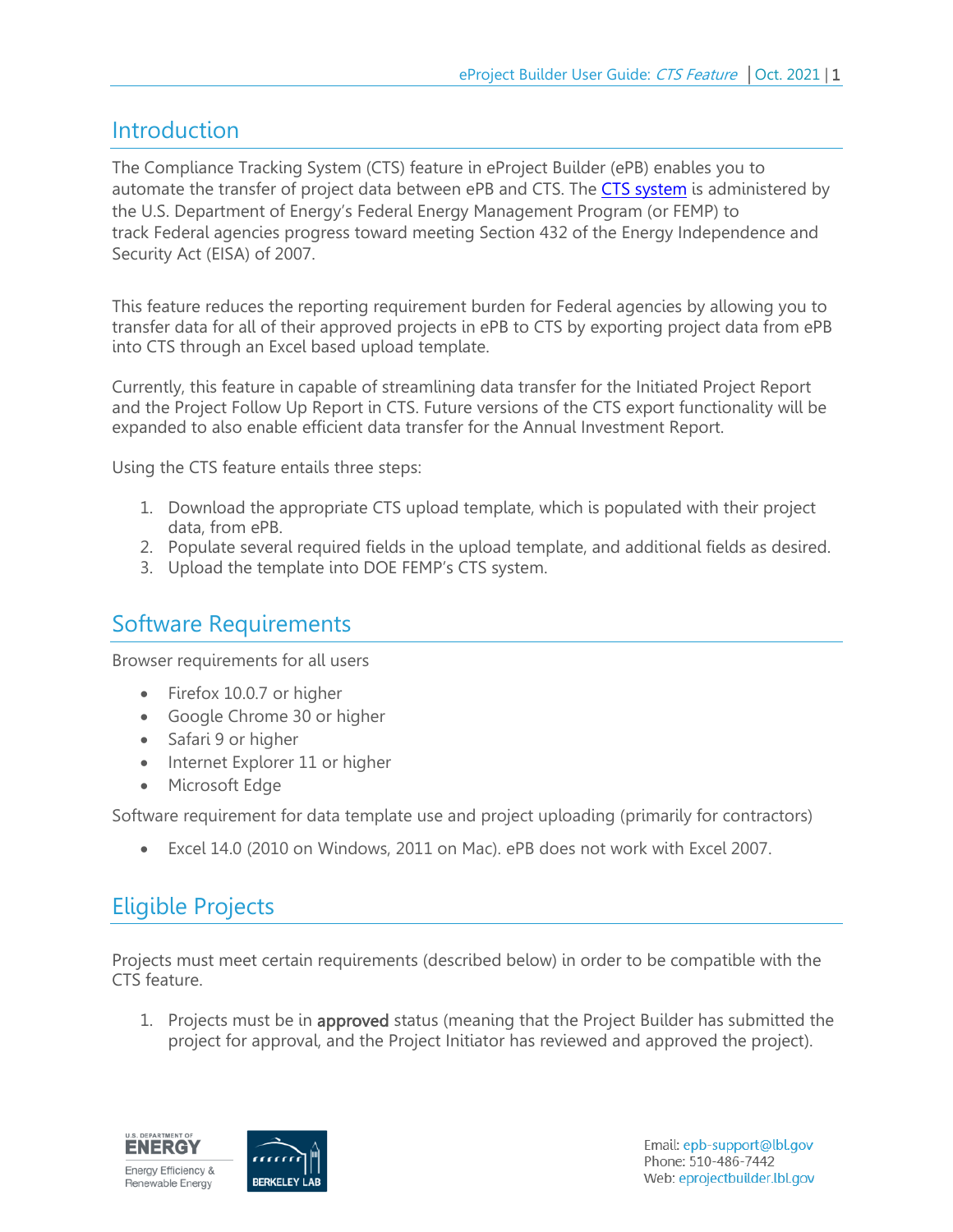#### <span id="page-2-0"></span>**Introduction**

The Compliance Tracking System (CTS) feature in eProject Builder (ePB) enables you to automate the transfer of project data between ePB and CTS. The [CTS system](https://www.eisa-432-cts.eere.energy.gov/EISACTS/Login.aspx) is administered by the U.S. Department of Energy's Federal Energy Management Program (or FEMP) to track Federal agencies progress toward meeting Section 432 of the Energy Independence and Security Act (EISA) of 2007.

This feature reduces the reporting requirement burden for Federal agencies by allowing you to transfer data for all of their approved projects in ePB to CTS by exporting project data from ePB into CTS through an Excel based upload template.

Currently, this feature in capable of streamlining data transfer for the Initiated Project Report and the Project Follow Up Report in CTS. Future versions of the CTS export functionality will be expanded to also enable efficient data transfer for the Annual Investment Report.

Using the CTS feature entails three steps:

- 1. Download the appropriate CTS upload template, which is populated with their project data, from ePB.
- 2. Populate several required fields in the upload template, and additional fields as desired.
- 3. Upload the template into DOE FEMP's CTS system.

#### <span id="page-2-1"></span>Software Requirements

Browser requirements for all users

- Firefox 10.0.7 or higher
- Google Chrome 30 or higher
- Safari 9 or higher
- Internet Explorer 11 or higher
- Microsoft Edge

Software requirement for data template use and project uploading (primarily for contractors)

Excel 14.0 (2010 on Windows, 2011 on Mac). ePB does not work with Excel 2007.

### <span id="page-2-2"></span>Eligible Projects

Projects must meet certain requirements (described below) in order to be compatible with the CTS feature.

1. Projects must be in **approved** status (meaning that the Project Builder has submitted the project for approval, and the Project Initiator has reviewed and approved the project).

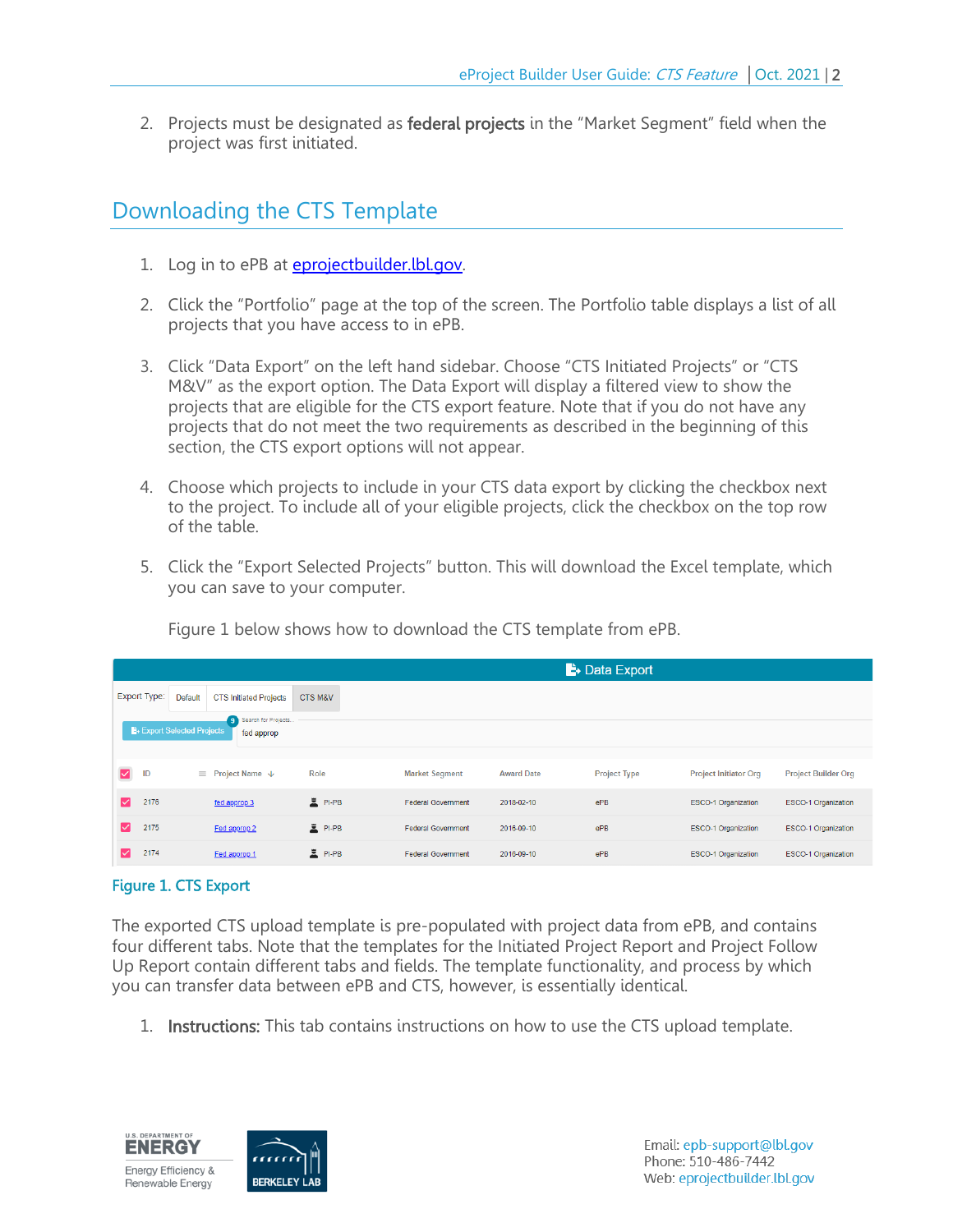2. Projects must be designated as federal projects in the "Market Segment" field when the project was first initiated.

### <span id="page-3-0"></span>Downloading the CTS Template

- 1. Log in to ePB at [eprojectbuilder.lbl.gov.](file:///C:/Users/hstratton/Desktop/ePB/Training%20Docs/CTS%20Guide/eprojectbuilder.lbl.gov)
- 2. Click the "Portfolio" page at the top of the screen. The Portfolio table displays a list of all projects that you have access to in ePB.
- 3. Click "Data Export" on the left hand sidebar. Choose "CTS Initiated Projects" or "CTS M&V" as the export option. The Data Export will display a filtered view to show the projects that are eligible for the CTS export feature. Note that if you do not have any projects that do not meet the two requirements as described in the beginning of this section, the CTS export options will not appear.
- 4. Choose which projects to include in your CTS data export by clicking the checkbox next to the project. To include all of your eligible projects, click the checkbox on the top row of the table.
- 5. Click the "Export Selected Projects" button. This will download the Excel template, which you can save to your computer.

|   |                          |         |                                     |                    |                           |                   | <b>B</b> • Data Export |                              |                            |
|---|--------------------------|---------|-------------------------------------|--------------------|---------------------------|-------------------|------------------------|------------------------------|----------------------------|
|   | Export Type:             | Default | <b>CTS Initiated Projects</b>       | <b>CTS M&amp;V</b> |                           |                   |                        |                              |                            |
|   | Export Selected Projects |         | 9 Search for Projects<br>fed approp |                    |                           |                   |                        |                              |                            |
|   |                          |         |                                     |                    |                           |                   |                        |                              |                            |
| ⊠ | ID                       |         | $\equiv$ Project Name $\sqrt{ }$    | Role               | <b>Market Segment</b>     | <b>Award Date</b> | <b>Project Type</b>    | <b>Project Initiator Org</b> | <b>Project Builder Org</b> |
| ☑ | 2176                     |         | fed approp 3                        | $P-PB$             | <b>Federal Government</b> | 2018-02-10        | ePB                    | <b>ESCO-1 Organization</b>   | ESCO-1 Organization        |
| ☑ | 2175                     |         | Fed approp 2                        | E PI-PB            | <b>Federal Government</b> | 2016-09-10        | ePB                    | <b>ESCO-1 Organization</b>   | <b>ESCO-1 Organization</b> |
| ☑ | 2174                     |         | Fed approp 1                        | PI-PB              | <b>Federal Government</b> | 2016-09-10        | ePB                    | <b>ESCO-1 Organization</b>   | <b>ESCO-1 Organization</b> |

Figure 1 below shows how to download the CTS template from ePB.

#### Figure 1. CTS Export

The exported CTS upload template is pre-populated with project data from ePB, and contains four different tabs. Note that the templates for the Initiated Project Report and Project Follow Up Report contain different tabs and fields. The template functionality, and process by which you can transfer data between ePB and CTS, however, is essentially identical.

1. Instructions: This tab contains instructions on how to use the CTS upload template.

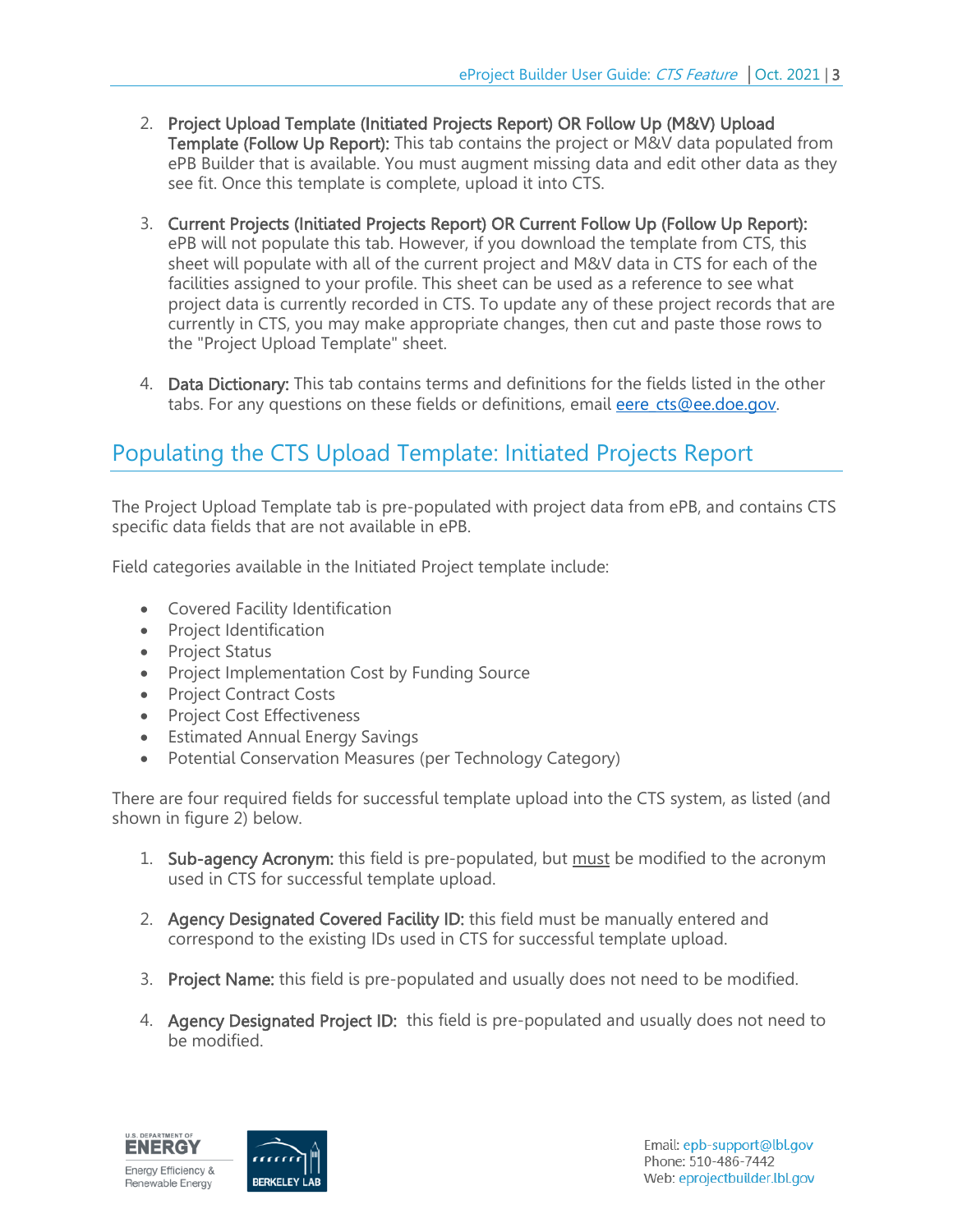- 2. Project Upload Template (Initiated Projects Report) OR Follow Up (M&V) Upload Template (Follow Up Report): This tab contains the project or M&V data populated from ePB Builder that is available. You must augment missing data and edit other data as they see fit. Once this template is complete, upload it into CTS.
- 3. Current Projects (Initiated Projects Report) OR Current Follow Up (Follow Up Report): ePB will not populate this tab. However, if you download the template from CTS, this sheet will populate with all of the current project and M&V data in CTS for each of the facilities assigned to your profile. This sheet can be used as a reference to see what project data is currently recorded in CTS. To update any of these project records that are currently in CTS, you may make appropriate changes, then cut and paste those rows to the "Project Upload Template" sheet.
- 4. Data Dictionary: This tab contains terms and definitions for the fields listed in the other tabs. For any questions on these fields or definitions, email [eere\\_cts@ee.doe.gov.](mailto:eere_cts@ee.doe.gov)

## <span id="page-4-0"></span>Populating the CTS Upload Template: Initiated Projects Report

The Project Upload Template tab is pre-populated with project data from ePB, and contains CTS specific data fields that are not available in ePB.

Field categories available in the Initiated Project template include:

- Covered Facility Identification
- Project Identification
- Project Status
- Project Implementation Cost by Funding Source
- Project Contract Costs
- Project Cost Effectiveness
- **Estimated Annual Energy Savings**
- Potential Conservation Measures (per Technology Category)

There are four required fields for successful template upload into the CTS system, as listed (and shown in figure 2) below.

- 1. Sub-agency Acronym: this field is pre-populated, but must be modified to the acronym used in CTS for successful template upload.
- 2. Agency Designated Covered Facility ID: this field must be manually entered and correspond to the existing IDs used in CTS for successful template upload.
- 3. Project Name: this field is pre-populated and usually does not need to be modified.
- 4. Agency Designated Project ID: this field is pre-populated and usually does not need to be modified.

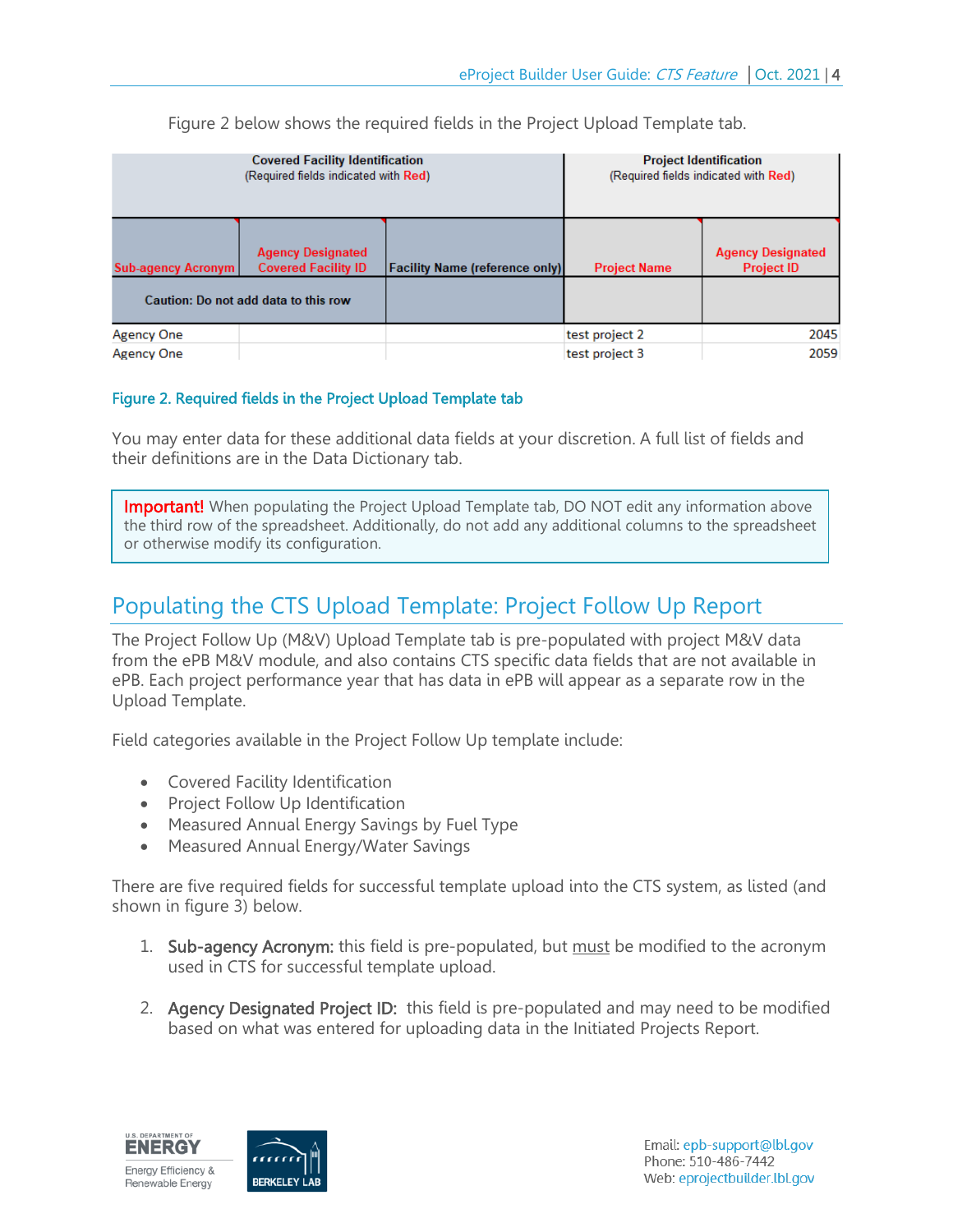|                           | <b>Covered Facility Identification</b><br>(Required fields indicated with Red) | <b>Project Identification</b><br>(Required fields indicated with Red) |                     |                                               |  |
|---------------------------|--------------------------------------------------------------------------------|-----------------------------------------------------------------------|---------------------|-----------------------------------------------|--|
| <b>Sub-agency Acronym</b> | <b>Agency Designated</b><br><b>Covered Facility ID</b>                         | <b>Facility Name (reference only)</b>                                 | <b>Project Name</b> | <b>Agency Designated</b><br><b>Project ID</b> |  |
|                           | Caution: Do not add data to this row                                           |                                                                       |                     |                                               |  |
| Agency One                |                                                                                |                                                                       | test project 2      | 2045                                          |  |
| <b>Agency One</b>         |                                                                                |                                                                       | test project 3      | 2059                                          |  |

Figure 2 below shows the required fields in the Project Upload Template tab.

#### Figure 2. Required fields in the Project Upload Template tab

You may enter data for these additional data fields at your discretion. A full list of fields and their definitions are in the Data Dictionary tab.

**Important!** When populating the Project Upload Template tab, DO NOT edit any information above the third row of the spreadsheet. Additionally, do not add any additional columns to the spreadsheet or otherwise modify its configuration.

## <span id="page-5-0"></span>Populating the CTS Upload Template: Project Follow Up Report

The Project Follow Up (M&V) Upload Template tab is pre-populated with project M&V data from the ePB M&V module, and also contains CTS specific data fields that are not available in ePB. Each project performance year that has data in ePB will appear as a separate row in the Upload Template.

Field categories available in the Project Follow Up template include:

Covered Facility Identification

I I I

- Project Follow Up Identification
- Measured Annual Energy Savings by Fuel Type
- Measured Annual Energy/Water Savings

There are five required fields for successful template upload into the CTS system, as listed (and shown in figure 3) below.

- 1. Sub-agency Acronym: this field is pre-populated, but must be modified to the acronym used in CTS for successful template upload.
- 2. Agency Designated Project ID: this field is pre-populated and may need to be modified based on what was entered for uploading data in the Initiated Projects Report.

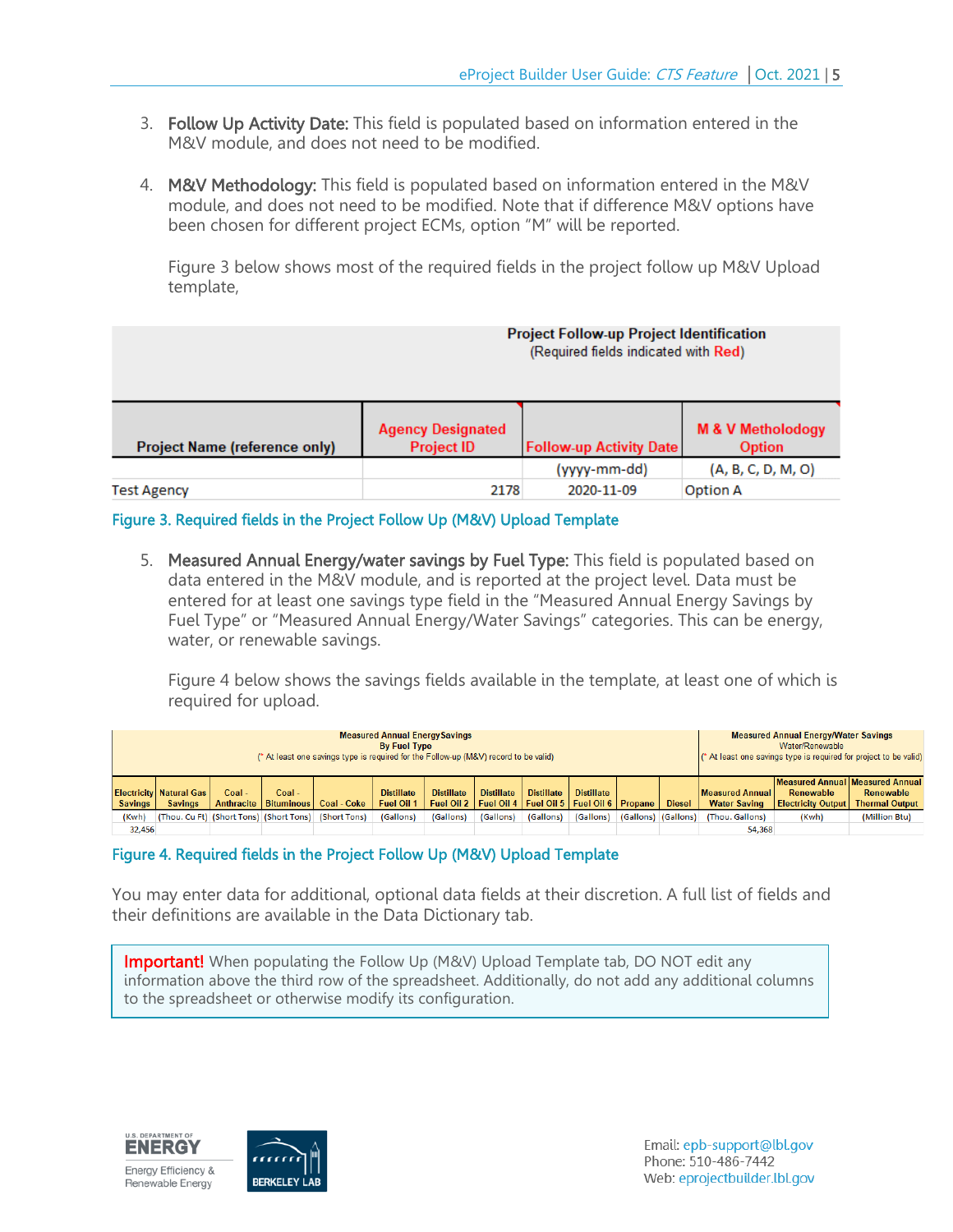- 3. Follow Up Activity Date: This field is populated based on information entered in the M&V module, and does not need to be modified.
- 4. M&V Methodology: This field is populated based on information entered in the M&V module, and does not need to be modified. Note that if difference M&V options have been chosen for different project ECMs, option "M" will be reported.

Figure 3 below shows most of the required fields in the project follow up M&V Upload template,

|                               | <b>Project Follow-up Project Identification</b><br>(Required fields indicated with Red) |              |                                                                                 |  |  |  |  |  |  |
|-------------------------------|-----------------------------------------------------------------------------------------|--------------|---------------------------------------------------------------------------------|--|--|--|--|--|--|
| Project Name (reference only) | <b>Agency Designated</b><br><b>Project ID</b>                                           |              | <b>M &amp; V Metholodogy</b><br><b>Follow-up Activity Date</b><br><b>Option</b> |  |  |  |  |  |  |
|                               |                                                                                         | (yyyy-mm-dd) | (A, B, C, D, M, O)                                                              |  |  |  |  |  |  |
| <b>Test Agency</b>            | 2178                                                                                    | 2020-11-09   | <b>Option A</b>                                                                 |  |  |  |  |  |  |

Figure 3. Required fields in the Project Follow Up (M&V) Upload Template

5. Measured Annual Energy/water savings by Fuel Type: This field is populated based on data entered in the M&V module, and is reported at the project level. Data must be entered for at least one savings type field in the "Measured Annual Energy Savings by Fuel Type" or "Measured Annual Energy/Water Savings" categories. This can be energy, water, or renewable savings.

Figure 4 below shows the savings fields available in the template, at least one of which is required for upload.

| <b>Measured Annual Energy Savings</b><br><b>By Fuel Type</b><br>(* At least one savings type is required for the Follow-up (M&V) record to be valid) |                                                    |        |        |                                                      |                                        |                   |                   |                                                                                  | <b>Measured Annual Energy/Water Savings</b><br>Water/Renewable<br>(* At least one savings type is required for project to be valid) |                     |               |                                        |                                                                           |                                    |
|------------------------------------------------------------------------------------------------------------------------------------------------------|----------------------------------------------------|--------|--------|------------------------------------------------------|----------------------------------------|-------------------|-------------------|----------------------------------------------------------------------------------|-------------------------------------------------------------------------------------------------------------------------------------|---------------------|---------------|----------------------------------------|---------------------------------------------------------------------------|------------------------------------|
| <b>Savings</b>                                                                                                                                       | <b>Electricity   Natural Gas</b><br><b>Savings</b> | Coal - | Coal - | Anthracite   Bituminous   Coal - Coke                | <b>Distillate</b><br><b>Fuel Oil 1</b> | <b>Distillate</b> | <b>Distillate</b> | <b>Distillate</b><br>Fuel Oil 2   Fuel Oil 4   Fuel Oil 5   Fuel Oil 6   Propane | <b>Distillate</b>                                                                                                                   |                     | <b>Diesel</b> | Measured Annual<br><b>Water Saving</b> | Measured Annual Measured Annual<br>Renewable<br><b>Electricity Output</b> | Renewable<br><b>Thermal Output</b> |
| (Kwh)                                                                                                                                                |                                                    |        |        | (Thou. Cu Ft) (Short Tons) (Short Tons) (Short Tons) | (Gallons)                              | (Gallons)         | (Gallons)         | (Gallons)                                                                        | (Gallons)                                                                                                                           | (Gallons) (Gallons) |               | (Thou. Gallons)                        | (Kwh)                                                                     | (Million Btu)                      |
| 32,456                                                                                                                                               |                                                    |        |        |                                                      |                                        |                   |                   |                                                                                  |                                                                                                                                     |                     |               | 54,368                                 |                                                                           |                                    |

#### Figure 4. Required fields in the Project Follow Up (M&V) Upload Template

You may enter data for additional, optional data fields at their discretion. A full list of fields and their definitions are available in the Data Dictionary tab.

**Important!** When populating the Follow Up (M&V) Upload Template tab, DO NOT edit any information above the third row of the spreadsheet. Additionally, do not add any additional columns to the spreadsheet or otherwise modify its configuration.



I I